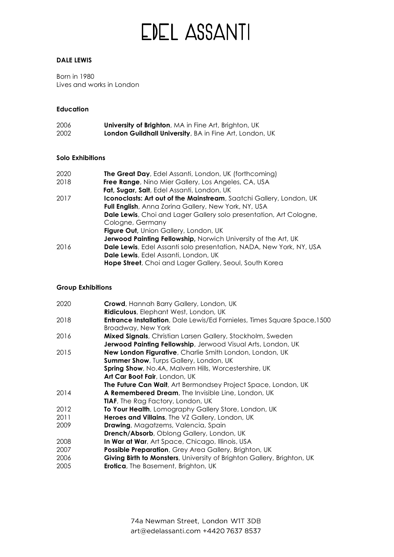# **EDEL ASSANTI**

#### **DALE LEWIS**

Born in 1980 Lives and works in London

### **Education**

| 2006 | <b>University of Brighton, MA in Fine Art, Brighton, UK</b> |
|------|-------------------------------------------------------------|
| 2002 | London Guildhall University, BA in Fine Art, London, UK     |

### **Solo Exhibitions**

| 2020 | <b>The Great Day</b> , Edel Assanti, London, UK (forthcoming)              |
|------|----------------------------------------------------------------------------|
| 2018 | <b>Free Range</b> , Nino Mier Gallery, Los Angeles, CA, USA                |
|      | Fat, Sugar, Salt, Edel Assanti, London, UK                                 |
| 2017 | Iconoclasts: Art out of the Mainstream, Saatchi Gallery, London, UK        |
|      | Full English, Anna Zorina Gallery, New York, NY, USA                       |
|      | <b>Dale Lewis</b> , Choi and Lager Gallery solo presentation, Art Cologne, |
|      | Cologne, Germany                                                           |
|      | Figure Out, Union Gallery, London, UK                                      |
|      | Jerwood Painting Fellowship, Norwich University of the Art, UK             |
| 2016 | Dale Lewis, Edel Assanti solo presentation, NADA, New York, NY, USA        |
|      | Dale Lewis, Edel Assanti, London, UK                                       |
|      | Hope Street, Choi and Lager Gallery, Seoul, South Korea                    |

#### **Group Exhibitions**

| Crowd, Hannah Barry Gallery, London, UK                                                                |
|--------------------------------------------------------------------------------------------------------|
| Ridiculous, Elephant West, London, UK                                                                  |
| <b>Entrance Installation</b> , Dale Lewis/Ed Fornieles, Times Square Space, 1500<br>Broadway, New York |
| Mixed Signals, Christian Larsen Gallery, Stockholm, Sweden                                             |
|                                                                                                        |
| Jerwood Painting Fellowship, Jerwood Visual Arts, London, UK                                           |
| <b>New London Figurative</b> , Charlie Smith London, London, UK                                        |
| Summer Show, Turps Gallery, London, UK                                                                 |
| <b>Spring Show, No.4A, Malvern Hills, Worcestershire, UK</b>                                           |
| Art Car Boot Fair, London, UK                                                                          |
| <b>The Future Can Wait</b> , Art Bermondsey Project Space, London, UK                                  |
| A Remembered Dream, The Invisible Line, London, UK                                                     |
| <b>TIAF,</b> The Rag Factory, London, UK                                                               |
| To Your Health, Lomography Gallery Store, London, UK                                                   |
| Heroes and Villains, The VZ Gallery, London, UK                                                        |
| <b>Drawing</b> , Magatzems, Valencia, Spain                                                            |
| Drench/Absorb, Oblong Gallery, London, UK                                                              |
| In War at War, Art Space, Chicago, Illinois, USA                                                       |
| Possible Preparation, Grey Area Gallery, Brighton, UK                                                  |
| Giving Birth to Monsters, University of Brighton Gallery, Brighton, UK                                 |
| <b>Erotica</b> , The Basement, Brighton, UK                                                            |
|                                                                                                        |